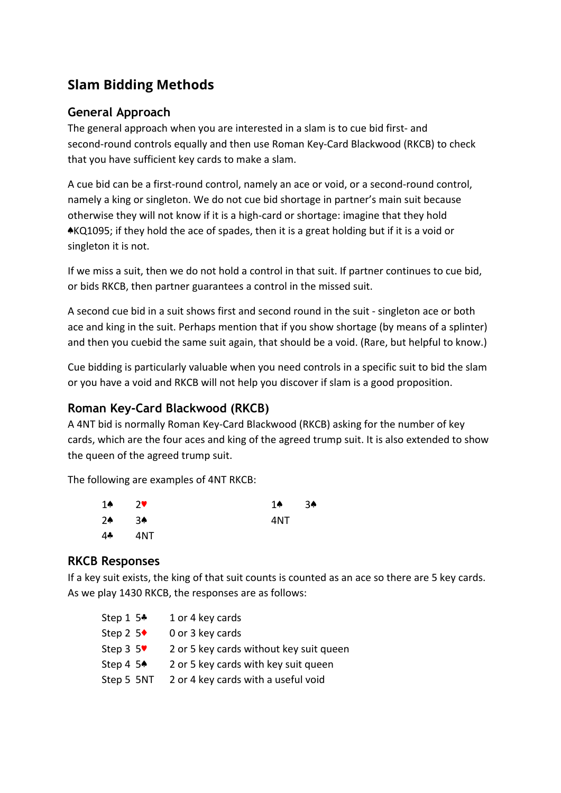# **Slam Bidding Methods**

# **General Approach**

The general approach when you are interested in a slam is to cue bid first- and second-round controls equally and then use Roman Key-Card Blackwood (RKCB) to check that you have sufficient key cards to make a slam.

A cue bid can be a first-round control, namely an ace or void, or a second-round control, namely a king or singleton. We do not cue bid shortage in partner's main suit because otherwise they will not know if it is a high-card or shortage: imagine that they hold ♠KQ1095; if they hold the ace of spades, then it is a great holding but if it is a void or singleton it is not.

If we miss a suit, then we do not hold a control in that suit. If partner continues to cue bid, or bids RKCB, then partner guarantees a control in the missed suit.

A second cue bid in a suit shows first and second round in the suit - singleton ace or both ace and king in the suit. Perhaps mention that if you show shortage (by means of a splinter) and then you cuebid the same suit again, that should be a void. (Rare, but helpful to know.)

Cue bidding is particularly valuable when you need controls in a specific suit to bid the slam or you have a void and RKCB will not help you discover if slam is a good proposition.

# **Roman Key-Card Blackwood (RKCB)**

A 4NT bid is normally Roman Key-Card Blackwood (RKCB) asking for the number of key cards, which are the four aces and king of the agreed trump suit. It is also extended to show the queen of the agreed trump suit.

The following are examples of 4NT RKCB:

| 1♠ | $7$ V | 14  | 3♠ |
|----|-------|-----|----|
| 2♠ | 3♠    | 4NT |    |
| 44 | 4NT   |     |    |

## **RKCB Responses**

If a key suit exists, the king of that suit counts is counted as an ace so there are 5 key cards. As we play 1430 RKCB, the responses are as follows:

| Step 1 $5*$ | 1 or 4 key cards                        |
|-------------|-----------------------------------------|
| Step 2 $5*$ | 0 or 3 key cards                        |
| Step $3\,5$ | 2 or 5 key cards without key suit queen |
| Step 4 $5*$ | 2 or 5 key cards with key suit queen    |
| Step 5 5NT  | 2 or 4 key cards with a useful void     |
|             |                                         |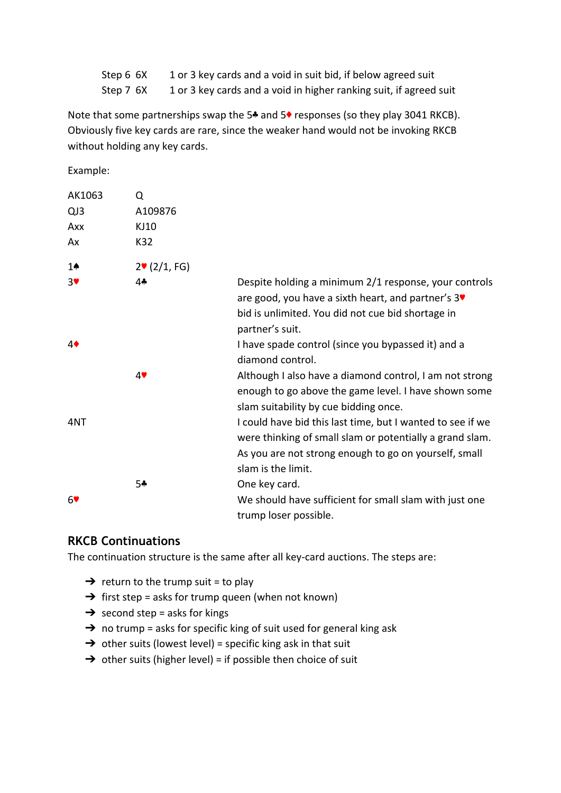| Step 6 6X | 1 or 3 key cards and a void in suit bid, if below agreed suit      |
|-----------|--------------------------------------------------------------------|
| Step 7 6X | 1 or 3 key cards and a void in higher ranking suit, if agreed suit |

Note that some partnerships swap the 5♣ and 5♦ responses (so they play 3041 RKCB). Obviously five key cards are rare, since the weaker hand would not be invoking RKCB without holding any key cards.

Example:

| AK1063           | Q                   |                                                                                                                                                                                                       |
|------------------|---------------------|-------------------------------------------------------------------------------------------------------------------------------------------------------------------------------------------------------|
| QJ3              | A109876             |                                                                                                                                                                                                       |
| Axx              | KJ10                |                                                                                                                                                                                                       |
| Ax               | K32                 |                                                                                                                                                                                                       |
| $1\spadesuit$    | $2 \cdot (2/1, FG)$ |                                                                                                                                                                                                       |
| $3$ V            | 4*                  | Despite holding a minimum 2/1 response, your controls<br>are good, you have a sixth heart, and partner's 3<br>bid is unlimited. You did not cue bid shortage in<br>partner's suit.                    |
| $4\blacklozenge$ |                     | I have spade control (since you bypassed it) and a<br>diamond control.                                                                                                                                |
|                  | 4                   | Although I also have a diamond control, I am not strong<br>enough to go above the game level. I have shown some<br>slam suitability by cue bidding once.                                              |
| 4NT              |                     | I could have bid this last time, but I wanted to see if we<br>were thinking of small slam or potentially a grand slam.<br>As you are not strong enough to go on yourself, small<br>slam is the limit. |
| 6                | 5*                  | One key card.<br>We should have sufficient for small slam with just one<br>trump loser possible.                                                                                                      |

## **RKCB Continuations**

The continuation structure is the same after all key-card auctions. The steps are:

- $\rightarrow$  return to the trump suit = to play
- $\rightarrow$  first step = asks for trump queen (when not known)
- $\rightarrow$  second step = asks for kings
- $\rightarrow$  no trump = asks for specific king of suit used for general king ask
- $\rightarrow$  other suits (lowest level) = specific king ask in that suit
- $\rightarrow$  other suits (higher level) = if possible then choice of suit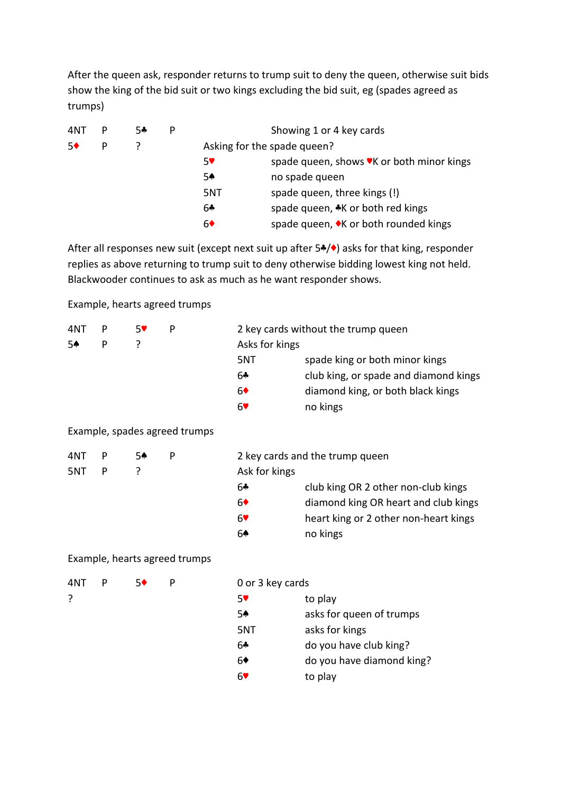After the queen ask, responder returns to trump suit to deny the queen, otherwise suit bids show the king of the bid suit or two kings excluding the bid suit, eg (spades agreed as trumps)

| 4NT | Р | 54 | P |                             | Showing 1 or 4 key cards                  |
|-----|---|----|---|-----------------------------|-------------------------------------------|
| 50  | P |    |   | Asking for the spade queen? |                                           |
|     |   |    |   | 5۷                          | spade queen, shows VK or both minor kings |
|     |   |    |   | 5♠                          | no spade queen                            |
|     |   |    |   | 5NT                         | spade queen, three kings (!)              |
|     |   |    |   | 6♣                          | spade queen, *K or both red kings         |
|     |   |    |   | 6♦                          | spade queen, ◆K or both rounded kings     |

After all responses new suit (except next suit up after 5♣/♦) asks for that king, responder replies as above returning to trump suit to deny otherwise bidding lowest king not held. Blackwooder continues to ask as much as he want responder shows.

Example, hearts agreed trumps

| 4NT | P | 57 | P | 2 key cards without the trump queen |                                       |  |
|-----|---|----|---|-------------------------------------|---------------------------------------|--|
| 5♠  | Þ |    |   | Asks for kings                      |                                       |  |
|     |   |    |   | 5NT                                 | spade king or both minor kings        |  |
|     |   |    |   | 6♣                                  | club king, or spade and diamond kings |  |
|     |   |    |   | 6 <sup>•</sup>                      | diamond king, or both black kings     |  |
|     |   |    |   | 6♥                                  | no kings                              |  |
|     |   |    |   |                                     |                                       |  |

### Example, spades agreed trumps

4NT P 5♠ P

 $5NT$   $P$  ?

| 2 key cards and the trump queen |                                       |  |  |  |
|---------------------------------|---------------------------------------|--|--|--|
| Ask for kings                   |                                       |  |  |  |
| 6♣                              | club king OR 2 other non-club kings   |  |  |  |
| 6♦                              | diamond king OR heart and club kings  |  |  |  |
| 67                              | heart king or 2 other non-heart kings |  |  |  |
| 64                              | no kings                              |  |  |  |
|                                 |                                       |  |  |  |

### Example, hearts agreed trumps

| 4NT | p | 5, |
|-----|---|----|
| 7   |   |    |

#### ◆ P 0 or 3 key cards

| 57  | to play                   |
|-----|---------------------------|
| 5♠  | asks for queen of trumps  |
| 5NT | asks for kings            |
| 6♣  | do you have club king?    |
| 6♦  | do you have diamond king? |
| 69  | to play                   |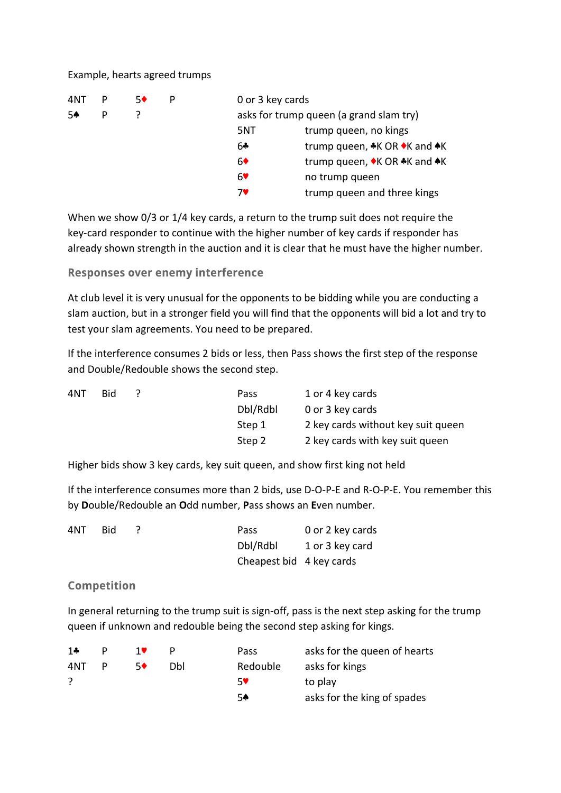#### Example, hearts agreed trumps

| 4NT |   | 50 | 0 or 3 key cards                        |                              |
|-----|---|----|-----------------------------------------|------------------------------|
| 54  | P |    | asks for trump queen (a grand slam try) |                              |
|     |   |    | 5NT                                     | trump queen, no kings        |
|     |   |    | 6♣                                      | trump queen, *K OR •K and *K |
|     |   |    | 6♦                                      | trump queen, ◆K OR ◆K and ◆K |
|     |   |    | 6♥                                      | no trump queen               |
|     |   |    | 7♥                                      | trump queen and three kings  |

When we show 0/3 or 1/4 key cards, a return to the trump suit does not require the key-card responder to continue with the higher number of key cards if responder has already shown strength in the auction and it is clear that he must have the higher number.

**Responses over enemy interference**

At club level it is very unusual for the opponents to be bidding while you are conducting a slam auction, but in a stronger field you will find that the opponents will bid a lot and try to test your slam agreements. You need to be prepared.

If the interference consumes 2 bids or less, then Pass shows the first step of the response and Double/Redouble shows the second step.

| 4NT | Bid. | Pass     | 1 or 4 key cards                   |
|-----|------|----------|------------------------------------|
|     |      | Dbl/Rdbl | 0 or 3 key cards                   |
|     |      | Step 1   | 2 key cards without key suit queen |
|     |      | Step 2   | 2 key cards with key suit queen    |

Higher bids show 3 key cards, key suit queen, and show first king not held

If the interference consumes more than 2 bids, use D-O-P-E and R-O-P-E. You remember this by **D**ouble/Redouble an **O**dd number, **P**ass shows an **E**ven number.

| 4NT. | Bid | Pass                     | 0 or 2 key cards |
|------|-----|--------------------------|------------------|
|      |     | Dbl/Rdbl                 | 1 or 3 key card  |
|      |     | Cheapest bid 4 key cards |                  |

### **Competition**

In general returning to the trump suit is sign-off, pass is the next step asking for the trump queen if unknown and redouble being the second step asking for kings.

| 1 $\clubsuit$ |   | 10 |     | Pass     | asks for the queen of hearts |
|---------------|---|----|-----|----------|------------------------------|
| 4NT           | P | 50 | Dhl | Redouble | asks for kings               |
|               |   |    |     | 59       | to play                      |
|               |   |    |     | 54       | asks for the king of spades  |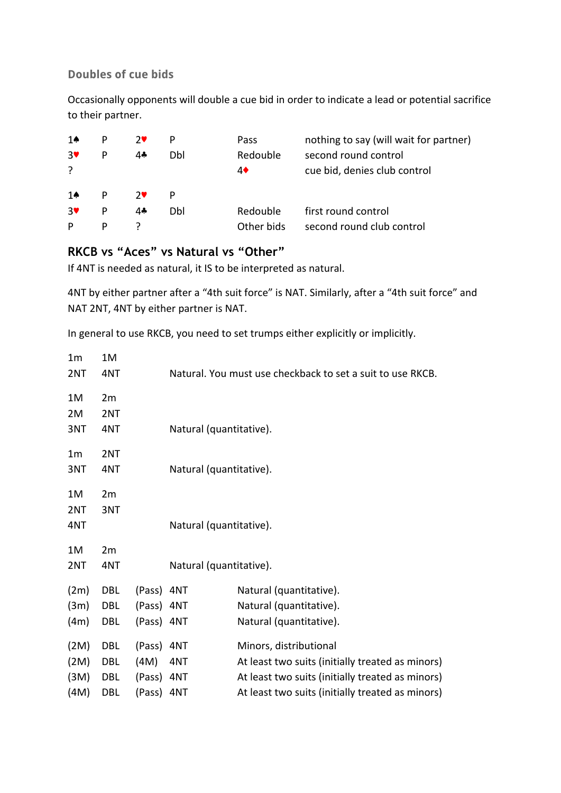### **Doubles of cue bids**

Occasionally opponents will double a cue bid in order to indicate a lead or potential sacrifice to their partner.

| 14    | P | $7$ V | P   | <b>Pass</b> | nothing to say (will wait for partner) |
|-------|---|-------|-----|-------------|----------------------------------------|
| $3$ V | P | 44    | Dbl | Redouble    | second round control                   |
| ?     |   |       |     | 4♦          | cue bid, denies club control           |
| 14    | P | $7$ V | P   |             |                                        |
| 3♥    | P | 44    | Dbl | Redouble    | first round control                    |
| P     | P |       |     | Other bids  | second round club control              |

# **RKCB vs "Aces" vs Natural vs "Other"**

If 4NT is needed as natural, it IS to be interpreted as natural.

4NT by either partner after a "4th suit force" is NAT. Similarly, after a "4th suit force" and NAT 2NT, 4NT by either partner is NAT.

In general to use RKCB, you need to set trumps either explicitly or implicitly.

| 1 <sub>m</sub> | 1M         |            |                         |                                                            |
|----------------|------------|------------|-------------------------|------------------------------------------------------------|
| 2NT            | 4NT        |            |                         | Natural. You must use checkback to set a suit to use RKCB. |
| 1M             | 2m         |            |                         |                                                            |
| 2M             | 2NT        |            |                         |                                                            |
| 3NT            | 4NT        |            | Natural (quantitative). |                                                            |
| 1 <sub>m</sub> | 2NT        |            |                         |                                                            |
| 3NT            | 4NT        |            | Natural (quantitative). |                                                            |
| 1M             | 2m         |            |                         |                                                            |
| 2NT            | 3NT        |            |                         |                                                            |
| 4NT            |            |            | Natural (quantitative). |                                                            |
| 1M             | 2m         |            |                         |                                                            |
| 2NT            | 4NT        |            | Natural (quantitative). |                                                            |
| (2m)           | DBL        | (Pass) 4NT |                         | Natural (quantitative).                                    |
| (3m)           | DBL        | (Pass) 4NT |                         | Natural (quantitative).                                    |
| (4m)           | DBL        | (Pass) 4NT |                         | Natural (quantitative).                                    |
| (2M)           | DBL        | (Pass)     | 4NT                     | Minors, distributional                                     |
| (2M)           | <b>DBL</b> | (4M)       | 4NT                     | At least two suits (initially treated as minors)           |
| (3M)           | DBL        | (Pass) 4NT |                         | At least two suits (initially treated as minors)           |
| (4M)           | DBL        | (Pass)     | 4NT                     | At least two suits (initially treated as minors)           |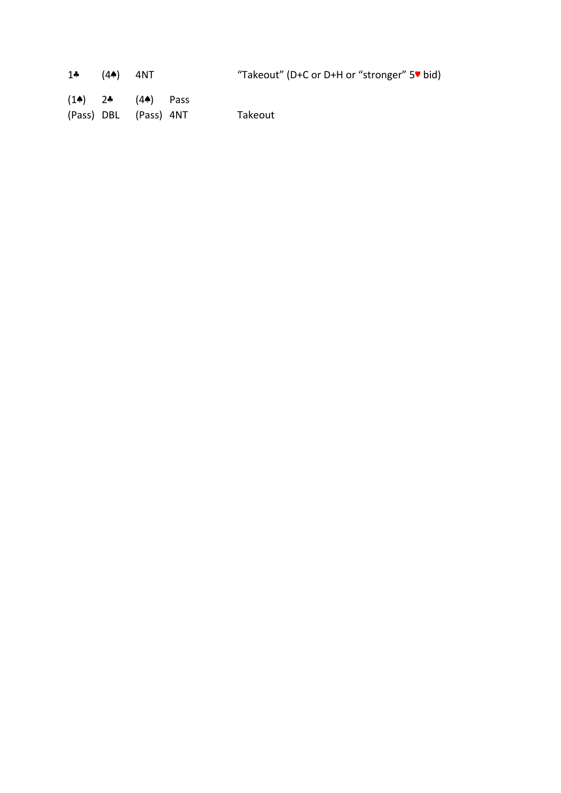| 1* $(4*)$ 4NT | "Takeout" (D+C or D+H or "stronger" 5" bid) |
|---------------|---------------------------------------------|
|               |                                             |

(1♠) 2♣ (4♠) Pass (Pass) DBL (Pass) 4NT Takeout